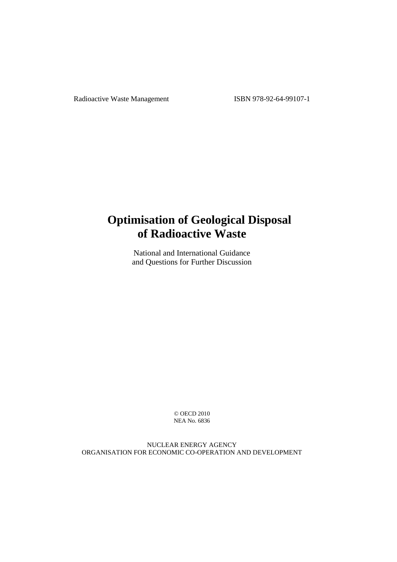Radioactive Waste Management ISBN 978-92-64-99107-1

# **Optimisation of Geological Disposal of Radioactive Waste**

National and International Guidance and Questions for Further Discussion

> © OECD 2010 NEA No. 6836

NUCLEAR ENERGY AGENCY ORGANISATION FOR ECONOMIC CO-OPERATION AND DEVELOPMENT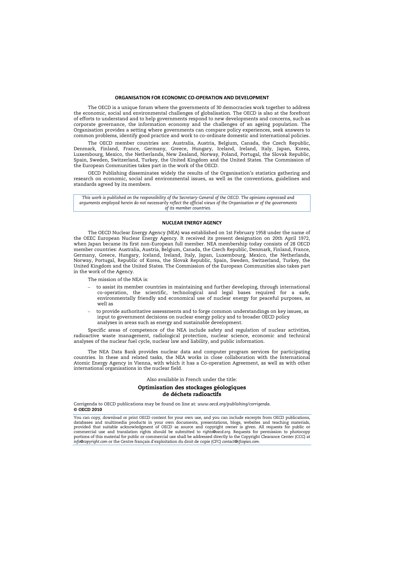#### **ORGANISATION FOR ECONOMIC CO-OPERATION AND DEVELOPMENT**

The OECD is a unique forum where the governments of 30 democracies work together to address the economic, social and environmental challenges of globalisation. The OECD is also at the forefront of efforts to understand and to help governments respond to new developments and concerns, such as corporate governance, the information economy and the challenges of an ageing population. The Organisation provides a setting where governments can compare policy experiences, seek answers to common problems, identify good practice and work to co-ordinate domestic and international policies.

The OECD member countries are: Australia, Austria, Belgium, Canada, the Czech Republic, Denmark, Finland, France, Germany, Greece, Hungary, Iceland, Ireland, Italy, Japan, Korea, Luxembourg, Mexico, the Netherlands, New Zealand, Norway, Poland, Portugal, the Slovak Republic, Spain, Sweden, Switzerland, Turkey, the United Kingdom and the United States. The Commission of the European Communities takes part in the work of the OECD.

OECD Publishing disseminates widely the results of the Organisation's statistics gathering and research on economic, social and environmental issues, as well as the conventions, guidelines and standards agreed by its members.

*This work is published on the responsibility of the Secretary-General of the OECD. The opinions expressed and*  arguments employed herein do not necessarily reflect the official views of the Organisation or of the governments *arguments* employed herein do not necessarily reflect the official views of the Organisation or of the gove *of its member countries.* 

#### **NUCLEAR ENERGY AGENCY**

The OECD Nuclear Energy Agency (NEA) was established on 1st February 1958 under the name of the OEEC European Nuclear Energy Agency. It received its present designation on 20th April 1972, when Japan became its first non-European full member. NEA membership today consists of 28 OECD member countries: Australia, Austria, Belgium, Canada, the Czech Republic, Denmark, Finland, France, Germany, Greece, Hungary, Iceland, Ireland, Italy, Japan, Luxembourg, Mexico, the Netherlands, Norway, Portugal, Republic of Korea, the Slovak Republic, Spain, Sweden, Switzerland, Turkey, the United Kingdom and the United States. The Commission of the European Communities also takes part in the work of the Agency.

The mission of the NEA is:

- to assist its member countries in maintaining and further developing, through international co-operation, the scientific, technological and legal bases required for a safe, environmentally friendly and economical use of nuclear energy for peaceful purposes, as well as
- to provide authoritative assessments and to forge common understandings on key issues, as input to government decisions on nuclear energy policy and to broader OECD policy analyses in areas such as energy and sustainable development.

Specific areas of competence of the NEA include safety and regulation of nuclear activities, radioactive waste management, radiological protection, nuclear science, economic and technical analyses of the nuclear fuel cycle, nuclear law and liability, and public information.

The NEA Data Bank provides nuclear data and computer program services for participating countries. In these and related tasks, the NEA works in close collaboration with the International Atomic Energy Agency in Vienna, with which it has a Co-operation Agreement, as well as with other international organisations in the nuclear field.

Also available in French under the title:

#### **Optimisation des stockages géologiques de déchets radioactifs**

Corrigenda to OECD publications may be found on line at: *www.oecd.org/publishing/corrigenda*. **© OECD 2010** 

You can copy, download or print OECD content for your own use, and you can include excerpts from OECD publications, databases and multimedia products in your own documents, presentations, blogs, websites and teaching materials,<br>provided that suitable acknowledgment of OECD as source and copyright owner is given. All requests for public commercial use and translation rights should be submitted to rights@oecd.org. Requests for permission to photocopy<br>portions of this material for public or commercial use shall be addressed directly to the Copyright Clearan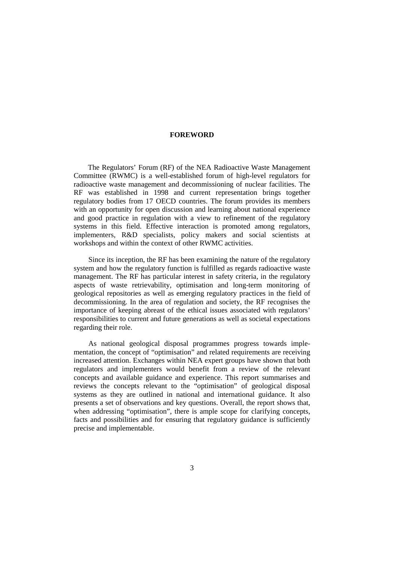## **FOREWORD**

The Regulators' Forum (RF) of the NEA Radioactive Waste Management Committee (RWMC) is a well-established forum of high-level regulators for radioactive waste management and decommissioning of nuclear facilities. The RF was established in 1998 and current representation brings together regulatory bodies from 17 OECD countries. The forum provides its members with an opportunity for open discussion and learning about national experience and good practice in regulation with a view to refinement of the regulatory systems in this field. Effective interaction is promoted among regulators, implementers, R&D specialists, policy makers and social scientists at workshops and within the context of other RWMC activities.

Since its inception, the RF has been examining the nature of the regulatory system and how the regulatory function is fulfilled as regards radioactive waste management. The RF has particular interest in safety criteria, in the regulatory aspects of waste retrievability, optimisation and long-term monitoring of geological repositories as well as emerging regulatory practices in the field of decommissioning. In the area of regulation and society, the RF recognises the importance of keeping abreast of the ethical issues associated with regulators' responsibilities to current and future generations as well as societal expectations regarding their role.

As national geological disposal programmes progress towards implementation, the concept of "optimisation" and related requirements are receiving increased attention. Exchanges within NEA expert groups have shown that both regulators and implementers would benefit from a review of the relevant concepts and available guidance and experience. This report summarises and reviews the concepts relevant to the "optimisation" of geological disposal systems as they are outlined in national and international guidance. It also presents a set of observations and key questions. Overall, the report shows that, when addressing "optimisation", there is ample scope for clarifying concepts, facts and possibilities and for ensuring that regulatory guidance is sufficiently precise and implementable.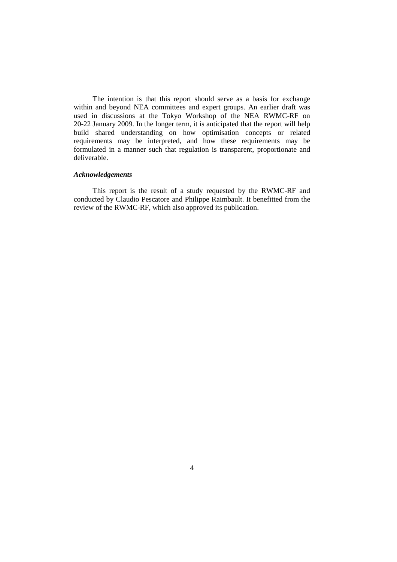The intention is that this report should serve as a basis for exchange within and beyond NEA committees and expert groups. An earlier draft was used in discussions at the Tokyo Workshop of the NEA RWMC-RF on 20-22 January 2009. In the longer term, it is anticipated that the report will help build shared understanding on how optimisation concepts or related requirements may be interpreted, and how these requirements may be formulated in a manner such that regulation is transparent, proportionate and deliverable.

### *Acknowledgements*

This report is the result of a study requested by the RWMC-RF and conducted by Claudio Pescatore and Philippe Raimbault. It benefitted from the review of the RWMC-RF, which also approved its publication.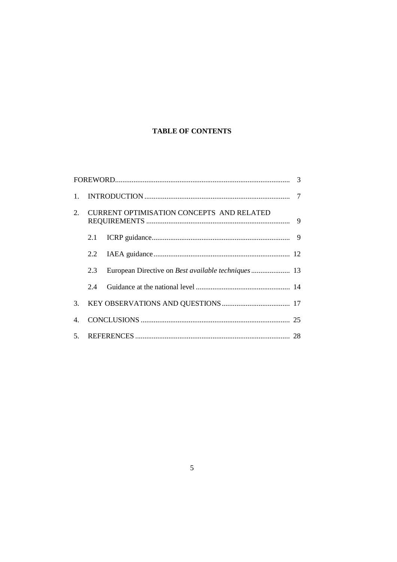# **TABLE OF CONTENTS**

| $1_{-}$ |                                           |  |  |
|---------|-------------------------------------------|--|--|
| 2.      | CURRENT OPTIMISATION CONCEPTS AND RELATED |  |  |
|         | 2.1                                       |  |  |
|         | 2.2                                       |  |  |
|         | 2.3                                       |  |  |
|         | 2.4                                       |  |  |
| 3.      |                                           |  |  |
| 4.      |                                           |  |  |
|         |                                           |  |  |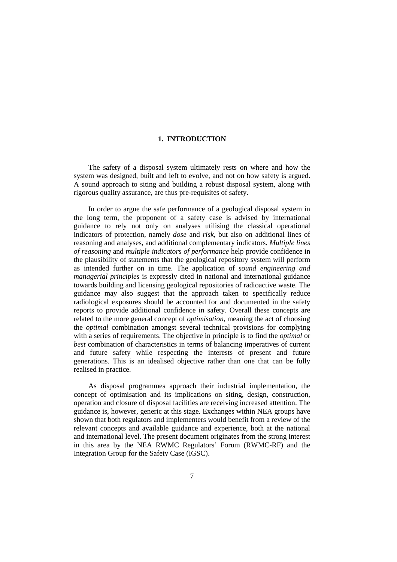### **1. INTRODUCTION**

The safety of a disposal system ultimately rests on where and how the system was designed, built and left to evolve, and not on how safety is argued. A sound approach to siting and building a robust disposal system, along with rigorous quality assurance, are thus pre-requisites of safety.

In order to argue the safe performance of a geological disposal system in the long term, the proponent of a safety case is advised by international guidance to rely not only on analyses utilising the classical operational indicators of protection, namely *dose* and *risk*, but also on additional lines of reasoning and analyses, and additional complementary indicators. *Multiple lines of reasoning* and *multiple indicators of performance* help provide confidence in the plausibility of statements that the geological repository system will perform as intended further on in time. The application of *sound engineering and managerial principles* is expressly cited in national and international guidance towards building and licensing geological repositories of radioactive waste. The guidance may also suggest that the approach taken to specifically reduce radiological exposures should be accounted for and documented in the safety reports to provide additional confidence in safety. Overall these concepts are related to the more general concept of *optimisation*, meaning the act of choosing the *optimal* combination amongst several technical provisions for complying with a series of requirements. The objective in principle is to find the *optimal* or *best* combination of characteristics in terms of balancing imperatives of current and future safety while respecting the interests of present and future generations. This is an idealised objective rather than one that can be fully realised in practice.

As disposal programmes approach their industrial implementation, the concept of optimisation and its implications on siting, design, construction, operation and closure of disposal facilities are receiving increased attention. The guidance is, however, generic at this stage. Exchanges within NEA groups have shown that both regulators and implementers would benefit from a review of the relevant concepts and available guidance and experience, both at the national and international level. The present document originates from the strong interest in this area by the NEA RWMC Regulators' Forum (RWMC-RF) and the Integration Group for the Safety Case (IGSC).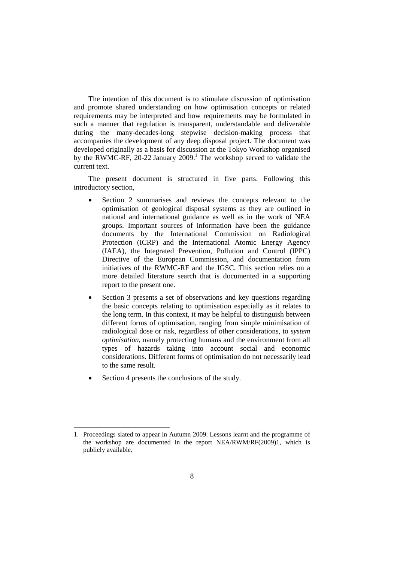The intention of this document is to stimulate discussion of optimisation and promote shared understanding on how optimisation concepts or related requirements may be interpreted and how requirements may be formulated in such a manner that regulation is transparent, understandable and deliverable during the many-decades-long stepwise decision-making process that accompanies the development of any deep disposal project. The document was developed originally as a basis for discussion at the Tokyo Workshop organised by the RWMC-RF, 20-22 January 2009.<sup>1</sup> The workshop served to validate the current text.

The present document is structured in five parts. Following this introductory section,

- Section 2 summarises and reviews the concepts relevant to the optimisation of geological disposal systems as they are outlined in national and international guidance as well as in the work of NEA groups. Important sources of information have been the guidance documents by the International Commission on Radiological Protection (ICRP) and the International Atomic Energy Agency (IAEA), the Integrated Prevention, Pollution and Control (IPPC) Directive of the European Commission, and documentation from initiatives of the RWMC-RF and the IGSC. This section relies on a more detailed literature search that is documented in a supporting report to the present one.
- Section 3 presents a set of observations and key questions regarding the basic concepts relating to optimisation especially as it relates to the long term. In this context, it may be helpful to distinguish between different forms of optimisation, ranging from simple minimisation of radiological dose or risk, regardless of other considerations, to *system optimisation*, namely protecting humans and the environment from all types of hazards taking into account social and economic considerations. Different forms of optimisation do not necessarily lead to the same result.
- Section 4 presents the conclusions of the study.

 $\overline{a}$ 

<sup>1.</sup> Proceedings slated to appear in Autumn 2009. Lessons learnt and the programme of the workshop are documented in the report NEA/RWM/RF(2009)1, which is publicly available.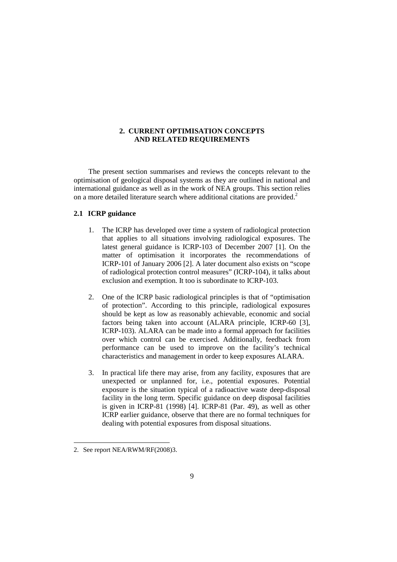### **2. CURRENT OPTIMISATION CONCEPTS AND RELATED REQUIREMENTS**

The present section summarises and reviews the concepts relevant to the optimisation of geological disposal systems as they are outlined in national and international guidance as well as in the work of NEA groups. This section relies on a more detailed literature search where additional citations are provided.<sup>2</sup>

### **2.1 ICRP guidance**

- 1. The ICRP has developed over time a system of radiological protection that applies to all situations involving radiological exposures. The latest general guidance is ICRP-103 of December 2007 [1]. On the matter of optimisation it incorporates the recommendations of ICRP-101 of January 2006 [2]. A later document also exists on "scope of radiological protection control measures" (ICRP-104), it talks about exclusion and exemption. It too is subordinate to ICRP-103.
- 2. One of the ICRP basic radiological principles is that of "optimisation of protection". According to this principle, radiological exposures should be kept as low as reasonably achievable, economic and social factors being taken into account (ALARA principle, ICRP-60 [3], ICRP-103). ALARA can be made into a formal approach for facilities over which control can be exercised. Additionally, feedback from performance can be used to improve on the facility's technical characteristics and management in order to keep exposures ALARA.
- 3. In practical life there may arise, from any facility, exposures that are unexpected or unplanned for, i.e., potential exposures. Potential exposure is the situation typical of a radioactive waste deep-disposal facility in the long term. Specific guidance on deep disposal facilities is given in ICRP-81 (1998) [4]. ICRP-81 (Par. 49), as well as other ICRP earlier guidance, observe that there are no formal techniques for dealing with potential exposures from disposal situations.

 $\overline{a}$ 

<sup>2.</sup> See report NEA/RWM/RF(2008)3.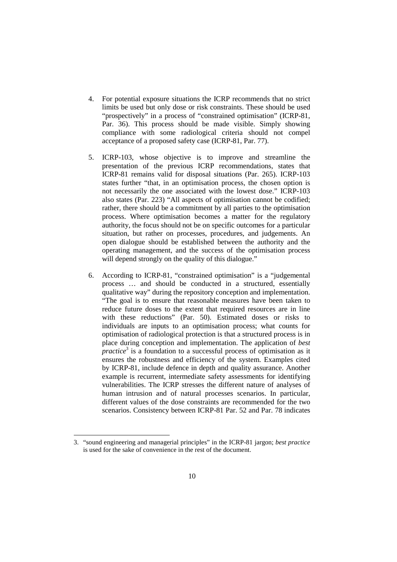- 4. For potential exposure situations the ICRP recommends that no strict limits be used but only dose or risk constraints. These should be used "prospectively" in a process of "constrained optimisation" (ICRP-81, Par. 36). This process should be made visible. Simply showing compliance with some radiological criteria should not compel acceptance of a proposed safety case (ICRP-81, Par. 77).
- 5. ICRP-103, whose objective is to improve and streamline the presentation of the previous ICRP recommendations, states that ICRP-81 remains valid for disposal situations (Par. 265). ICRP-103 states further "that, in an optimisation process, the chosen option is not necessarily the one associated with the lowest dose." ICRP-103 also states (Par. 223) "All aspects of optimisation cannot be codified; rather, there should be a commitment by all parties to the optimisation process. Where optimisation becomes a matter for the regulatory authority, the focus should not be on specific outcomes for a particular situation, but rather on processes, procedures, and judgements. An open dialogue should be established between the authority and the operating management, and the success of the optimisation process will depend strongly on the quality of this dialogue."
- 6. According to ICRP-81, "constrained optimisation" is a "judgemental process … and should be conducted in a structured, essentially qualitative way" during the repository conception and implementation. "The goal is to ensure that reasonable measures have been taken to reduce future doses to the extent that required resources are in line with these reductions" (Par. 50). Estimated doses or risks to individuals are inputs to an optimisation process; what counts for optimisation of radiological protection is that a structured process is in place during conception and implementation. The application of *best practice*<sup>3</sup> is a foundation to a successful process of optimisation as it ensures the robustness and efficiency of the system. Examples cited by ICRP-81, include defence in depth and quality assurance. Another example is recurrent, intermediate safety assessments for identifying vulnerabilities. The ICRP stresses the different nature of analyses of human intrusion and of natural processes scenarios. In particular, different values of the dose constraints are recommended for the two scenarios. Consistency between ICRP-81 Par. 52 and Par. 78 indicates

 $\ddot{ }$ 

<sup>3. &</sup>quot;sound engineering and managerial principles" in the ICRP-81 jargon; *best practice* is used for the sake of convenience in the rest of the document.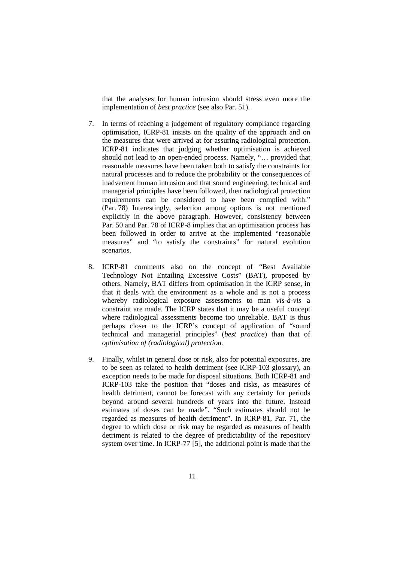that the analyses for human intrusion should stress even more the implementation of *best practice* (see also Par. 51).

- 7. In terms of reaching a judgement of regulatory compliance regarding optimisation, ICRP-81 insists on the quality of the approach and on the measures that were arrived at for assuring radiological protection. ICRP-81 indicates that judging whether optimisation is achieved should not lead to an open-ended process. Namely, "… provided that reasonable measures have been taken both to satisfy the constraints for natural processes and to reduce the probability or the consequences of inadvertent human intrusion and that sound engineering, technical and managerial principles have been followed, then radiological protection requirements can be considered to have been complied with." (Par. 78) Interestingly, selection among options is not mentioned explicitly in the above paragraph. However, consistency between Par. 50 and Par. 78 of ICRP-8 implies that an optimisation process has been followed in order to arrive at the implemented "reasonable measures" and "to satisfy the constraints" for natural evolution scenarios.
- 8. ICRP-81 comments also on the concept of "Best Available Technology Not Entailing Excessive Costs" (BAT), proposed by others. Namely, BAT differs from optimisation in the ICRP sense, in that it deals with the environment as a whole and is not a process whereby radiological exposure assessments to man *vis-à-vis* a constraint are made. The ICRP states that it may be a useful concept where radiological assessments become too unreliable. BAT is thus perhaps closer to the ICRP's concept of application of "sound technical and managerial principles" (*best practice*) than that of *optimisation of (radiological) protection.*
- 9. Finally, whilst in general dose or risk, also for potential exposures, are to be seen as related to health detriment (see ICRP-103 glossary), an exception needs to be made for disposal situations. Both ICRP-81 and ICRP-103 take the position that "doses and risks, as measures of health detriment, cannot be forecast with any certainty for periods beyond around several hundreds of years into the future. Instead estimates of doses can be made". "Such estimates should not be regarded as measures of health detriment". In ICRP-81, Par. 71, the degree to which dose or risk may be regarded as measures of health detriment is related to the degree of predictability of the repository system over time. In ICRP-77 [5], the additional point is made that the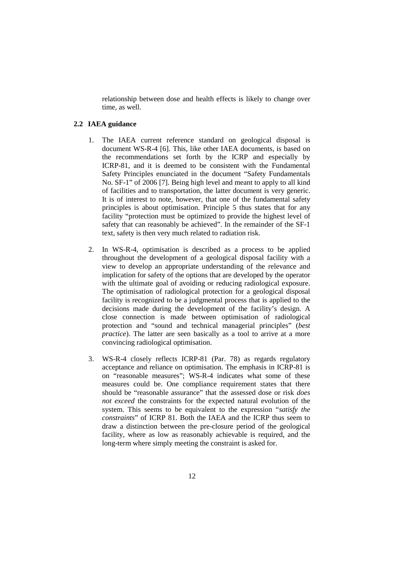relationship between dose and health effects is likely to change over time, as well.

#### **2.2 IAEA guidance**

- 1. The IAEA current reference standard on geological disposal is document WS-R-4 [6]. This, like other IAEA documents, is based on the recommendations set forth by the ICRP and especially by ICRP-81, and it is deemed to be consistent with the Fundamental Safety Principles enunciated in the document "Safety Fundamentals No. SF-1" of 2006 [7]. Being high level and meant to apply to all kind of facilities and to transportation, the latter document is very generic. It is of interest to note, however, that one of the fundamental safety principles is about optimisation. Principle 5 thus states that for any facility "protection must be optimized to provide the highest level of safety that can reasonably be achieved". In the remainder of the SF-1 text, safety is then very much related to radiation risk.
- 2. In WS-R-4, optimisation is described as a process to be applied throughout the development of a geological disposal facility with a view to develop an appropriate understanding of the relevance and implication for safety of the options that are developed by the operator with the ultimate goal of avoiding or reducing radiological exposure. The optimisation of radiological protection for a geological disposal facility is recognized to be a judgmental process that is applied to the decisions made during the development of the facility's design. A close connection is made between optimisation of radiological protection and "sound and technical managerial principles" (*best practice*). The latter are seen basically as a tool to arrive at a more convincing radiological optimisation.
- 3. WS-R-4 closely reflects ICRP-81 (Par. 78) as regards regulatory acceptance and reliance on optimisation. The emphasis in ICRP-81 is on "reasonable measures"; WS-R-4 indicates what some of these measures could be. One compliance requirement states that there should be "reasonable assurance" that the assessed dose or risk *does not exceed* the constraints for the expected natural evolution of the system. This seems to be equivalent to the expression "*satisfy the constraints*" of ICRP 81. Both the IAEA and the ICRP thus seem to draw a distinction between the pre-closure period of the geological facility, where as low as reasonably achievable is required, and the long-term where simply meeting the constraint is asked for.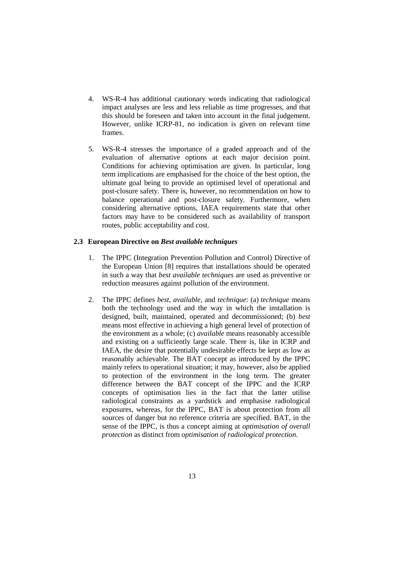- 4. WS-R-4 has additional cautionary words indicating that radiological impact analyses are less and less reliable as time progresses, and that this should be foreseen and taken into account in the final judgement. However, unlike ICRP-81, no indication is given on relevant time frames.
- 5. WS-R-4 stresses the importance of a graded approach and of the evaluation of alternative options at each major decision point. Conditions for achieving optimisation are given. In particular, long term implications are emphasised for the choice of the best option, the ultimate goal being to provide an optimised level of operational and post-closure safety. There is, however, no recommendation on how to balance operational and post-closure safety. Furthermore, when considering alternative options, IAEA requirements state that other factors may have to be considered such as availability of transport routes, public acceptability and cost.

#### **2.3 European Directive on** *Best available techniques*

- 1. The IPPC (Integration Prevention Pollution and Control) Directive of the European Union [8] requires that installations should be operated in such a way that *best available techniques* are used as preventive or reduction measures against pollution of the environment.
- 2. The IPPC defines *best*, *available*, and *technique*: (a) *technique* means both the technology used and the way in which the installation is designed, built, maintained, operated and decommissioned; (b) *best* means most effective in achieving a high general level of protection of the environment as a whole; (c) *available* means reasonably accessible and existing on a sufficiently large scale. There is, like in ICRP and IAEA, the desire that potentially undesirable effects be kept as low as reasonably achievable. The BAT concept as introduced by the IPPC mainly refers to operational situation; it may, however, also be applied to protection of the environment in the long term. The greater difference between the BAT concept of the IPPC and the ICRP concepts of optimisation lies in the fact that the latter utilise radiological constraints as a yardstick and emphasise radiological exposures, whereas, for the IPPC, BAT is about protection from all sources of danger but no reference criteria are specified. BAT, in the sense of the IPPC, is thus a concept aiming at *optimisation of overall protection* as distinct from *optimisation of radiological protection*.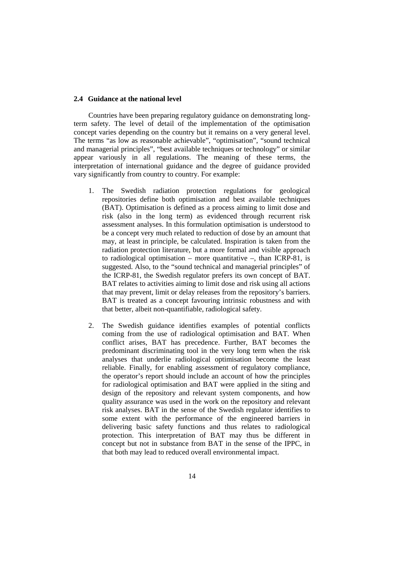#### **2.4 Guidance at the national level**

Countries have been preparing regulatory guidance on demonstrating longterm safety. The level of detail of the implementation of the optimisation concept varies depending on the country but it remains on a very general level. The terms "as low as reasonable achievable", "optimisation", "sound technical and managerial principles", "best available techniques or technology" or similar appear variously in all regulations. The meaning of these terms, the interpretation of international guidance and the degree of guidance provided vary significantly from country to country. For example:

- 1. The Swedish radiation protection regulations for geological repositories define both optimisation and best available techniques (BAT). Optimisation is defined as a process aiming to limit dose and risk (also in the long term) as evidenced through recurrent risk assessment analyses. In this formulation optimisation is understood to be a concept very much related to reduction of dose by an amount that may, at least in principle, be calculated. Inspiration is taken from the radiation protection literature, but a more formal and visible approach to radiological optimisation – more quantitative –, than ICRP-81, is suggested. Also, to the "sound technical and managerial principles" of the ICRP-81, the Swedish regulator prefers its own concept of BAT. BAT relates to activities aiming to limit dose and risk using all actions that may prevent, limit or delay releases from the repository's barriers. BAT is treated as a concept favouring intrinsic robustness and with that better, albeit non-quantifiable, radiological safety.
- 2. The Swedish guidance identifies examples of potential conflicts coming from the use of radiological optimisation and BAT. When conflict arises, BAT has precedence. Further, BAT becomes the predominant discriminating tool in the very long term when the risk analyses that underlie radiological optimisation become the least reliable. Finally, for enabling assessment of regulatory compliance, the operator's report should include an account of how the principles for radiological optimisation and BAT were applied in the siting and design of the repository and relevant system components, and how quality assurance was used in the work on the repository and relevant risk analyses. BAT in the sense of the Swedish regulator identifies to some extent with the performance of the engineered barriers in delivering basic safety functions and thus relates to radiological protection. This interpretation of BAT may thus be different in concept but not in substance from BAT in the sense of the IPPC, in that both may lead to reduced overall environmental impact.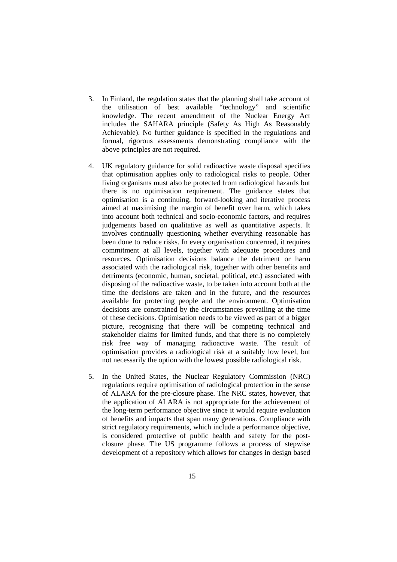- 3. In Finland, the regulation states that the planning shall take account of the utilisation of best available "technology" and scientific knowledge. The recent amendment of the Nuclear Energy Act includes the SAHARA principle (Safety As High As Reasonably Achievable). No further guidance is specified in the regulations and formal, rigorous assessments demonstrating compliance with the above principles are not required.
- 4. UK regulatory guidance for solid radioactive waste disposal specifies that optimisation applies only to radiological risks to people. Other living organisms must also be protected from radiological hazards but there is no optimisation requirement. The guidance states that optimisation is a continuing, forward-looking and iterative process aimed at maximising the margin of benefit over harm, which takes into account both technical and socio-economic factors, and requires judgements based on qualitative as well as quantitative aspects. It involves continually questioning whether everything reasonable has been done to reduce risks. In every organisation concerned, it requires commitment at all levels, together with adequate procedures and resources. Optimisation decisions balance the detriment or harm associated with the radiological risk, together with other benefits and detriments (economic, human, societal, political, etc.) associated with disposing of the radioactive waste, to be taken into account both at the time the decisions are taken and in the future, and the resources available for protecting people and the environment. Optimisation decisions are constrained by the circumstances prevailing at the time of these decisions. Optimisation needs to be viewed as part of a bigger picture, recognising that there will be competing technical and stakeholder claims for limited funds, and that there is no completely risk free way of managing radioactive waste. The result of optimisation provides a radiological risk at a suitably low level, but not necessarily the option with the lowest possible radiological risk.
- 5. In the United States, the Nuclear Regulatory Commission (NRC) regulations require optimisation of radiological protection in the sense of ALARA for the pre-closure phase. The NRC states, however, that the application of ALARA is not appropriate for the achievement of the long-term performance objective since it would require evaluation of benefits and impacts that span many generations. Compliance with strict regulatory requirements, which include a performance objective, is considered protective of public health and safety for the postclosure phase. The US programme follows a process of stepwise development of a repository which allows for changes in design based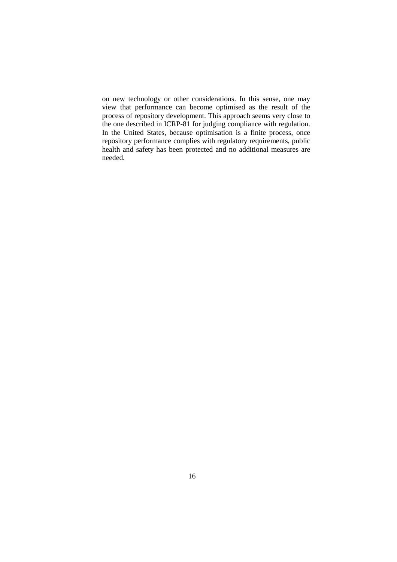on new technology or other considerations. In this sense, one may view that performance can become optimised as the result of the process of repository development. This approach seems very close to the one described in ICRP-81 for judging compliance with regulation. In the United States, because optimisation is a finite process, once repository performance complies with regulatory requirements, public health and safety has been protected and no additional measures are needed.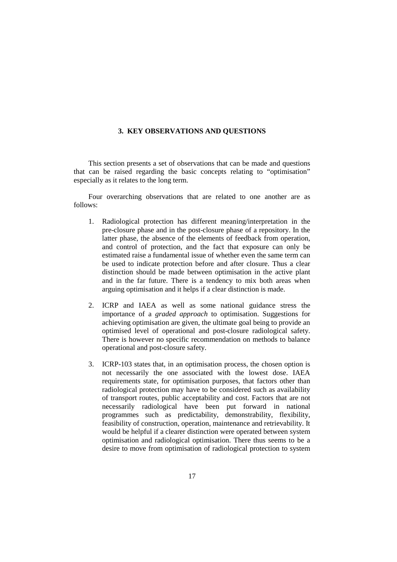#### **3. KEY OBSERVATIONS AND QUESTIONS**

This section presents a set of observations that can be made and questions that can be raised regarding the basic concepts relating to "optimisation" especially as it relates to the long term.

Four overarching observations that are related to one another are as follows:

- 1. Radiological protection has different meaning/interpretation in the pre-closure phase and in the post-closure phase of a repository. In the latter phase, the absence of the elements of feedback from operation, and control of protection, and the fact that exposure can only be estimated raise a fundamental issue of whether even the same term can be used to indicate protection before and after closure. Thus a clear distinction should be made between optimisation in the active plant and in the far future. There is a tendency to mix both areas when arguing optimisation and it helps if a clear distinction is made.
- 2. ICRP and IAEA as well as some national guidance stress the importance of a *graded approach* to optimisation. Suggestions for achieving optimisation are given, the ultimate goal being to provide an optimised level of operational and post-closure radiological safety. There is however no specific recommendation on methods to balance operational and post-closure safety.
- 3. ICRP-103 states that, in an optimisation process, the chosen option is not necessarily the one associated with the lowest dose. IAEA requirements state, for optimisation purposes, that factors other than radiological protection may have to be considered such as availability of transport routes, public acceptability and cost. Factors that are not necessarily radiological have been put forward in national programmes such as predictability, demonstrability, flexibility, feasibility of construction, operation, maintenance and retrievability. It would be helpful if a clearer distinction were operated between system optimisation and radiological optimisation. There thus seems to be a desire to move from optimisation of radiological protection to system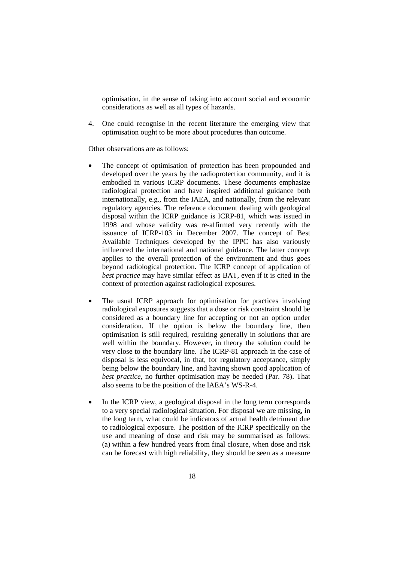optimisation, in the sense of taking into account social and economic considerations as well as all types of hazards.

4. One could recognise in the recent literature the emerging view that optimisation ought to be more about procedures than outcome.

Other observations are as follows:

- The concept of optimisation of protection has been propounded and developed over the years by the radioprotection community, and it is embodied in various ICRP documents. These documents emphasize radiological protection and have inspired additional guidance both internationally, e.g., from the IAEA, and nationally, from the relevant regulatory agencies. The reference document dealing with geological disposal within the ICRP guidance is ICRP-81, which was issued in 1998 and whose validity was re-affirmed very recently with the issuance of ICRP-103 in December 2007. The concept of Best Available Techniques developed by the IPPC has also variously influenced the international and national guidance. The latter concept applies to the overall protection of the environment and thus goes beyond radiological protection. The ICRP concept of application of *best practice* may have similar effect as BAT, even if it is cited in the context of protection against radiological exposures.
- The usual ICRP approach for optimisation for practices involving radiological exposures suggests that a dose or risk constraint should be considered as a boundary line for accepting or not an option under consideration. If the option is below the boundary line, then optimisation is still required, resulting generally in solutions that are well within the boundary. However, in theory the solution could be very close to the boundary line. The ICRP-81 approach in the case of disposal is less equivocal, in that, for regulatory acceptance, simply being below the boundary line, and having shown good application of *best practice*, no further optimisation may be needed (Par. 78). That also seems to be the position of the IAEA's WS-R-4.
- In the ICRP view, a geological disposal in the long term corresponds to a very special radiological situation. For disposal we are missing, in the long term, what could be indicators of actual health detriment due to radiological exposure. The position of the ICRP specifically on the use and meaning of dose and risk may be summarised as follows: (a) within a few hundred years from final closure, when dose and risk can be forecast with high reliability, they should be seen as a measure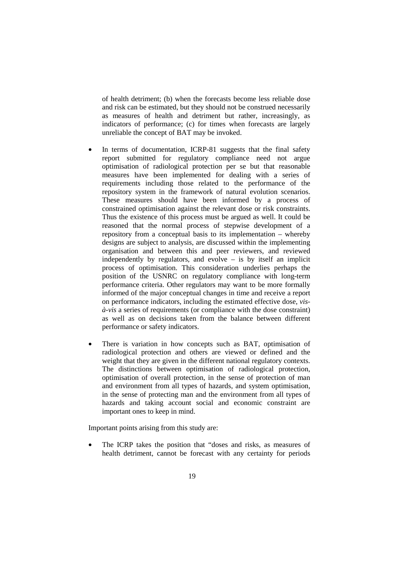of health detriment; (b) when the forecasts become less reliable dose and risk can be estimated, but they should not be construed necessarily as measures of health and detriment but rather, increasingly, as indicators of performance; (c) for times when forecasts are largely unreliable the concept of BAT may be invoked.

- In terms of documentation, ICRP-81 suggests that the final safety report submitted for regulatory compliance need not argue optimisation of radiological protection per se but that reasonable measures have been implemented for dealing with a series of requirements including those related to the performance of the repository system in the framework of natural evolution scenarios. These measures should have been informed by a process of constrained optimisation against the relevant dose or risk constraints. Thus the existence of this process must be argued as well. It could be reasoned that the normal process of stepwise development of a repository from a conceptual basis to its implementation – whereby designs are subject to analysis, are discussed within the implementing organisation and between this and peer reviewers, and reviewed independently by regulators, and evolve – is by itself an implicit process of optimisation. This consideration underlies perhaps the position of the USNRC on regulatory compliance with long-term performance criteria. Other regulators may want to be more formally informed of the major conceptual changes in time and receive a report on performance indicators, including the estimated effective dose, *visà-vis* a series of requirements (or compliance with the dose constraint) as well as on decisions taken from the balance between different performance or safety indicators.
- There is variation in how concepts such as BAT, optimisation of radiological protection and others are viewed or defined and the weight that they are given in the different national regulatory contexts. The distinctions between optimisation of radiological protection, optimisation of overall protection, in the sense of protection of man and environment from all types of hazards, and system optimisation, in the sense of protecting man and the environment from all types of hazards and taking account social and economic constraint are important ones to keep in mind.

Important points arising from this study are:

The ICRP takes the position that "doses and risks, as measures of health detriment, cannot be forecast with any certainty for periods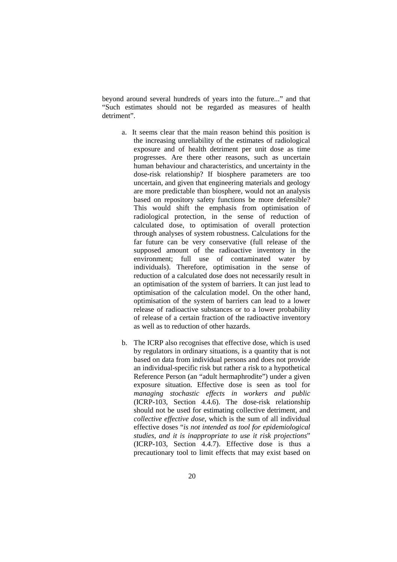beyond around several hundreds of years into the future..." and that "Such estimates should not be regarded as measures of health detriment".

- a. It seems clear that the main reason behind this position is the increasing unreliability of the estimates of radiological exposure and of health detriment per unit dose as time progresses. Are there other reasons, such as uncertain human behaviour and characteristics, and uncertainty in the dose-risk relationship? If biosphere parameters are too uncertain, and given that engineering materials and geology are more predictable than biosphere, would not an analysis based on repository safety functions be more defensible? This would shift the emphasis from optimisation of radiological protection, in the sense of reduction of calculated dose, to optimisation of overall protection through analyses of system robustness. Calculations for the far future can be very conservative (full release of the supposed amount of the radioactive inventory in the environment; full use of contaminated water by individuals). Therefore, optimisation in the sense of reduction of a calculated dose does not necessarily result in an optimisation of the system of barriers. It can just lead to optimisation of the calculation model. On the other hand, optimisation of the system of barriers can lead to a lower release of radioactive substances or to a lower probability of release of a certain fraction of the radioactive inventory as well as to reduction of other hazards.
- b. The ICRP also recognises that effective dose, which is used by regulators in ordinary situations, is a quantity that is not based on data from individual persons and does not provide an individual-specific risk but rather a risk to a hypothetical Reference Person (an "adult hermaphrodite") under a given exposure situation. Effective dose is seen as tool for *managing stochastic effects in workers and public*  (ICRP-103, Section 4.4.6). The dose-risk relationship should not be used for estimating collective detriment, and *collective effective dose*, which is the sum of all individual effective doses "*is not intended as tool for epidemiological studies, and it is inappropriate to use it risk projections*" (ICRP-103, Section 4.4.7). Effective dose is thus a precautionary tool to limit effects that may exist based on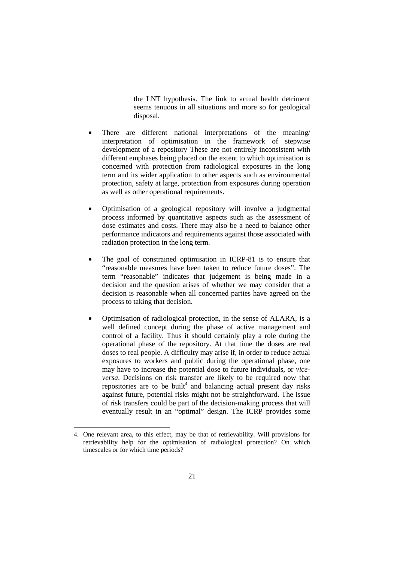the LNT hypothesis. The link to actual health detriment seems tenuous in all situations and more so for geological disposal.

- There are different national interpretations of the meaning/ interpretation of optimisation in the framework of stepwise development of a repository These are not entirely inconsistent with different emphases being placed on the extent to which optimisation is concerned with protection from radiological exposures in the long term and its wider application to other aspects such as environmental protection, safety at large, protection from exposures during operation as well as other operational requirements.
- Optimisation of a geological repository will involve a judgmental process informed by quantitative aspects such as the assessment of dose estimates and costs. There may also be a need to balance other performance indicators and requirements against those associated with radiation protection in the long term.
- The goal of constrained optimisation in ICRP-81 is to ensure that "reasonable measures have been taken to reduce future doses". The term "reasonable" indicates that judgement is being made in a decision and the question arises of whether we may consider that a decision is reasonable when all concerned parties have agreed on the process to taking that decision.
- Optimisation of radiological protection, in the sense of ALARA, is a well defined concept during the phase of active management and control of a facility. Thus it should certainly play a role during the operational phase of the repository. At that time the doses are real doses to real people. A difficulty may arise if, in order to reduce actual exposures to workers and public during the operational phase, one may have to increase the potential dose to future individuals, or *viceversa*. Decisions on risk transfer are likely to be required now that repositories are to be built<sup>4</sup> and balancing actual present day risks against future, potential risks might not be straightforward. The issue of risk transfers could be part of the decision-making process that will eventually result in an "optimal" design. The ICRP provides some

 $\overline{a}$ 

<sup>4.</sup> One relevant area, to this effect, may be that of retrievability. Will provisions for retrievability help for the optimisation of radiological protection? On which timescales or for which time periods?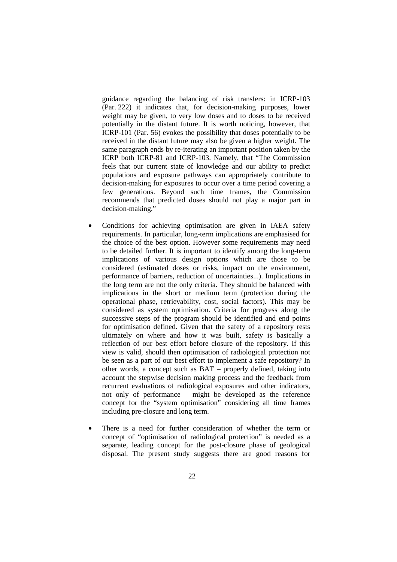guidance regarding the balancing of risk transfers: in ICRP-103 (Par. 222) it indicates that, for decision-making purposes, lower weight may be given, to very low doses and to doses to be received potentially in the distant future. It is worth noticing, however, that ICRP-101 (Par. 56) evokes the possibility that doses potentially to be received in the distant future may also be given a higher weight. The same paragraph ends by re-iterating an important position taken by the ICRP both ICRP-81 and ICRP-103. Namely, that "The Commission feels that our current state of knowledge and our ability to predict populations and exposure pathways can appropriately contribute to decision-making for exposures to occur over a time period covering a few generations. Beyond such time frames, the Commission recommends that predicted doses should not play a major part in decision-making."

- Conditions for achieving optimisation are given in IAEA safety requirements. In particular, long-term implications are emphasised for the choice of the best option. However some requirements may need to be detailed further. It is important to identify among the long-term implications of various design options which are those to be considered (estimated doses or risks, impact on the environment, performance of barriers, reduction of uncertainties...). Implications in the long term are not the only criteria. They should be balanced with implications in the short or medium term (protection during the operational phase, retrievability, cost, social factors). This may be considered as system optimisation. Criteria for progress along the successive steps of the program should be identified and end points for optimisation defined. Given that the safety of a repository rests ultimately on where and how it was built, safety is basically a reflection of our best effort before closure of the repository. If this view is valid, should then optimisation of radiological protection not be seen as a part of our best effort to implement a safe repository? In other words, a concept such as BAT – properly defined, taking into account the stepwise decision making process and the feedback from recurrent evaluations of radiological exposures and other indicators, not only of performance – might be developed as the reference concept for the "system optimisation" considering all time frames including pre-closure and long term.
- There is a need for further consideration of whether the term or concept of "optimisation of radiological protection" is needed as a separate, leading concept for the post-closure phase of geological disposal. The present study suggests there are good reasons for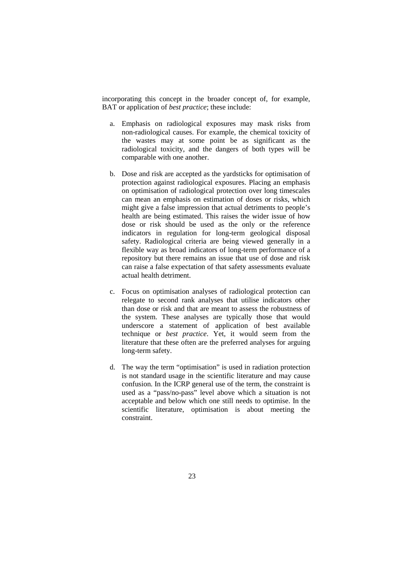incorporating this concept in the broader concept of, for example, BAT or application of *best practice*; these include:

- a. Emphasis on radiological exposures may mask risks from non-radiological causes. For example, the chemical toxicity of the wastes may at some point be as significant as the radiological toxicity, and the dangers of both types will be comparable with one another.
- b. Dose and risk are accepted as the yardsticks for optimisation of protection against radiological exposures. Placing an emphasis on optimisation of radiological protection over long timescales can mean an emphasis on estimation of doses or risks, which might give a false impression that actual detriments to people's health are being estimated. This raises the wider issue of how dose or risk should be used as the only or the reference indicators in regulation for long-term geological disposal safety. Radiological criteria are being viewed generally in a flexible way as broad indicators of long-term performance of a repository but there remains an issue that use of dose and risk can raise a false expectation of that safety assessments evaluate actual health detriment.
- c. Focus on optimisation analyses of radiological protection can relegate to second rank analyses that utilise indicators other than dose or risk and that are meant to assess the robustness of the system. These analyses are typically those that would underscore a statement of application of best available technique or *best practice*. Yet, it would seem from the literature that these often are the preferred analyses for arguing long-term safety.
- d. The way the term "optimisation" is used in radiation protection is not standard usage in the scientific literature and may cause confusion. In the ICRP general use of the term, the constraint is used as a "pass/no-pass" level above which a situation is not acceptable and below which one still needs to optimise. In the scientific literature, optimisation is about meeting the constraint.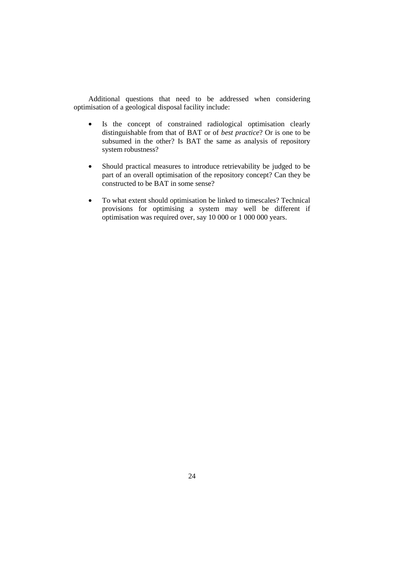Additional questions that need to be addressed when considering optimisation of a geological disposal facility include:

- Is the concept of constrained radiological optimisation clearly distinguishable from that of BAT or of *best practice*? Or is one to be subsumed in the other? Is BAT the same as analysis of repository system robustness?
- Should practical measures to introduce retrievability be judged to be part of an overall optimisation of the repository concept? Can they be constructed to be BAT in some sense?
- To what extent should optimisation be linked to timescales? Technical provisions for optimising a system may well be different if optimisation was required over, say 10 000 or 1 000 000 years.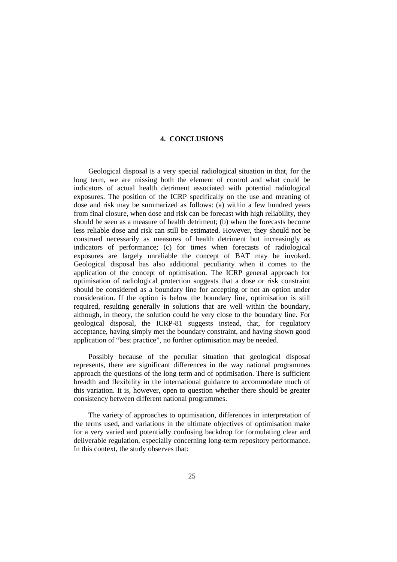# **4. CONCLUSIONS**

Geological disposal is a very special radiological situation in that, for the long term, we are missing both the element of control and what could be indicators of actual health detriment associated with potential radiological exposures. The position of the ICRP specifically on the use and meaning of dose and risk may be summarized as follows: (a) within a few hundred years from final closure, when dose and risk can be forecast with high reliability, they should be seen as a measure of health detriment; (b) when the forecasts become less reliable dose and risk can still be estimated. However, they should not be construed necessarily as measures of health detriment but increasingly as indicators of performance; (c) for times when forecasts of radiological exposures are largely unreliable the concept of BAT may be invoked. Geological disposal has also additional peculiarity when it comes to the application of the concept of optimisation. The ICRP general approach for optimisation of radiological protection suggests that a dose or risk constraint should be considered as a boundary line for accepting or not an option under consideration. If the option is below the boundary line, optimisation is still required, resulting generally in solutions that are well within the boundary, although, in theory, the solution could be very close to the boundary line. For geological disposal, the ICRP-81 suggests instead, that, for regulatory acceptance, having simply met the boundary constraint, and having shown good application of "best practice", no further optimisation may be needed.

Possibly because of the peculiar situation that geological disposal represents, there are significant differences in the way national programmes approach the questions of the long term and of optimisation. There is sufficient breadth and flexibility in the international guidance to accommodate much of this variation. It is, however, open to question whether there should be greater consistency between different national programmes.

The variety of approaches to optimisation, differences in interpretation of the terms used, and variations in the ultimate objectives of optimisation make for a very varied and potentially confusing backdrop for formulating clear and deliverable regulation, especially concerning long-term repository performance. In this context, the study observes that: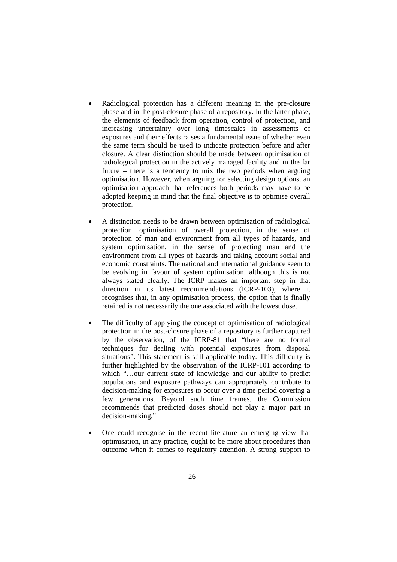- Radiological protection has a different meaning in the pre-closure phase and in the post-closure phase of a repository. In the latter phase, the elements of feedback from operation, control of protection, and increasing uncertainty over long timescales in assessments of exposures and their effects raises a fundamental issue of whether even the same term should be used to indicate protection before and after closure. A clear distinction should be made between optimisation of radiological protection in the actively managed facility and in the far future – there is a tendency to mix the two periods when arguing optimisation. However, when arguing for selecting design options, an optimisation approach that references both periods may have to be adopted keeping in mind that the final objective is to optimise overall protection.
- A distinction needs to be drawn between optimisation of radiological protection, optimisation of overall protection, in the sense of protection of man and environment from all types of hazards, and system optimisation, in the sense of protecting man and the environment from all types of hazards and taking account social and economic constraints. The national and international guidance seem to be evolving in favour of system optimisation, although this is not always stated clearly. The ICRP makes an important step in that direction in its latest recommendations (ICRP-103), where it recognises that, in any optimisation process, the option that is finally retained is not necessarily the one associated with the lowest dose.
- The difficulty of applying the concept of optimisation of radiological protection in the post-closure phase of a repository is further captured by the observation, of the ICRP-81 that "there are no formal techniques for dealing with potential exposures from disposal situations". This statement is still applicable today. This difficulty is further highlighted by the observation of the ICRP-101 according to which "...our current state of knowledge and our ability to predict populations and exposure pathways can appropriately contribute to decision-making for exposures to occur over a time period covering a few generations. Beyond such time frames, the Commission recommends that predicted doses should not play a major part in decision-making."
- One could recognise in the recent literature an emerging view that optimisation, in any practice, ought to be more about procedures than outcome when it comes to regulatory attention. A strong support to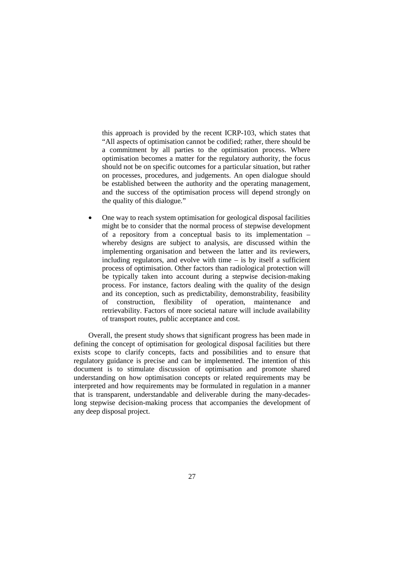this approach is provided by the recent ICRP-103, which states that "All aspects of optimisation cannot be codified; rather, there should be a commitment by all parties to the optimisation process. Where optimisation becomes a matter for the regulatory authority, the focus should not be on specific outcomes for a particular situation, but rather on processes, procedures, and judgements. An open dialogue should be established between the authority and the operating management, and the success of the optimisation process will depend strongly on the quality of this dialogue*.*"

• One way to reach system optimisation for geological disposal facilities might be to consider that the normal process of stepwise development of a repository from a conceptual basis to its implementation – whereby designs are subject to analysis, are discussed within the implementing organisation and between the latter and its reviewers, including regulators, and evolve with time – is by itself a sufficient process of optimisation. Other factors than radiological protection will be typically taken into account during a stepwise decision-making process. For instance, factors dealing with the quality of the design and its conception, such as predictability, demonstrability, feasibility of construction, flexibility of operation, maintenance and retrievability. Factors of more societal nature will include availability of transport routes, public acceptance and cost.

Overall, the present study shows that significant progress has been made in defining the concept of optimisation for geological disposal facilities but there exists scope to clarify concepts, facts and possibilities and to ensure that regulatory guidance is precise and can be implemented. The intention of this document is to stimulate discussion of optimisation and promote shared understanding on how optimisation concepts or related requirements may be interpreted and how requirements may be formulated in regulation in a manner that is transparent, understandable and deliverable during the many-decadeslong stepwise decision-making process that accompanies the development of any deep disposal project.